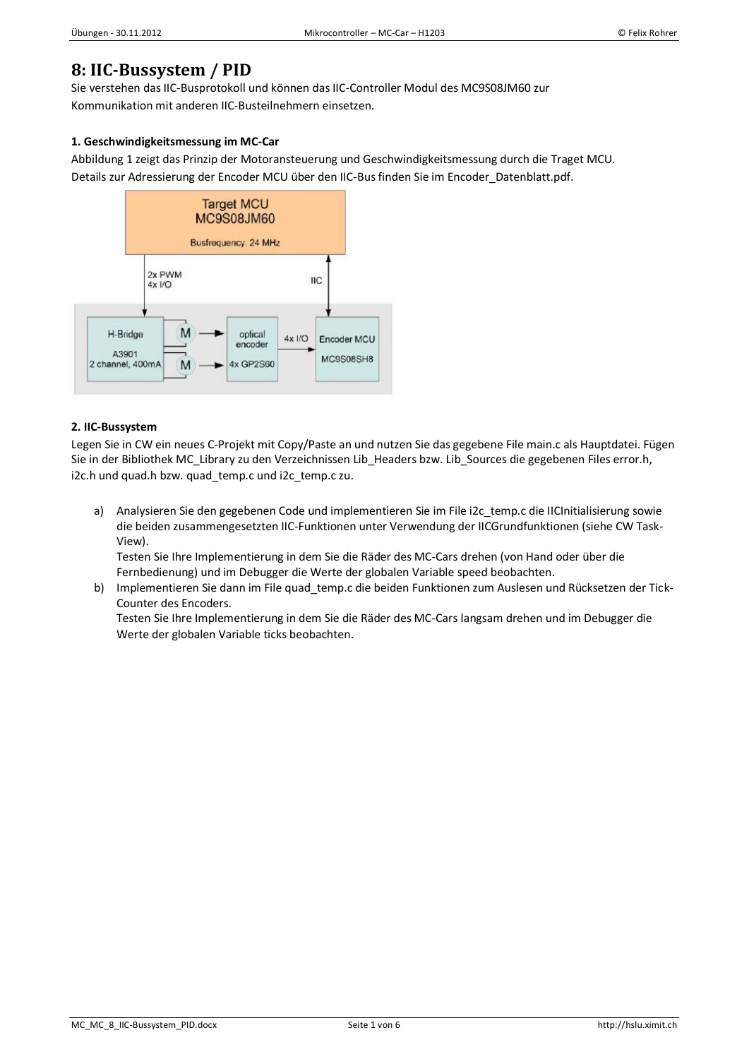# **8: IIC-Bussystem / PID**

Sie verstehen das IIC-Busprotokoll und können das IIC-Controller Modul des MC9S08JM60 zur Kommunikation mit anderen IIC-Busteilnehmern einsetzen.

### **1. Geschwindigkeitsmessung im MC-Car**

Abbildung 1 zeigt das Prinzip der Motoransteuerung und Geschwindigkeitsmessung durch die Traget MCU. Details zur Adressierung der Encoder MCU über den IIC-Bus finden Sie im Encoder\_Datenblatt.pdf.



#### **2. IIC-Bussystem**

Legen Sie in CW ein neues C-Projekt mit Copy/Paste an und nutzen Sie das gegebene File main.c als Hauptdatei. Fügen Sie in der Bibliothek MC\_Library zu den Verzeichnissen Lib\_Headers bzw. Lib\_Sources die gegebenen Files error.h, i2c.h und quad.h bzw. quad\_temp.c und i2c\_temp.c zu.

a) Analysieren Sie den gegebenen Code und implementieren Sie im File i2c temp.c die IICInitialisierung sowie die beiden zusammengesetzten IIC-Funktionen unter Verwendung der IICGrundfunktionen (siehe CW Task-View).

Testen Sie Ihre Implementierung in dem Sie die Räder des MC-Cars drehen (von Hand oder über die Fernbedienung) und im Debugger die Werte der globalen Variable speed beobachten.

b) Implementieren Sie dann im File quad\_temp.c die beiden Funktionen zum Auslesen und Rücksetzen der Tick-Counter des Encoders.

Testen Sie Ihre Implementierung in dem Sie die Räder des MC-Cars langsam drehen und im Debugger die Werte der globalen Variable ticks beobachten.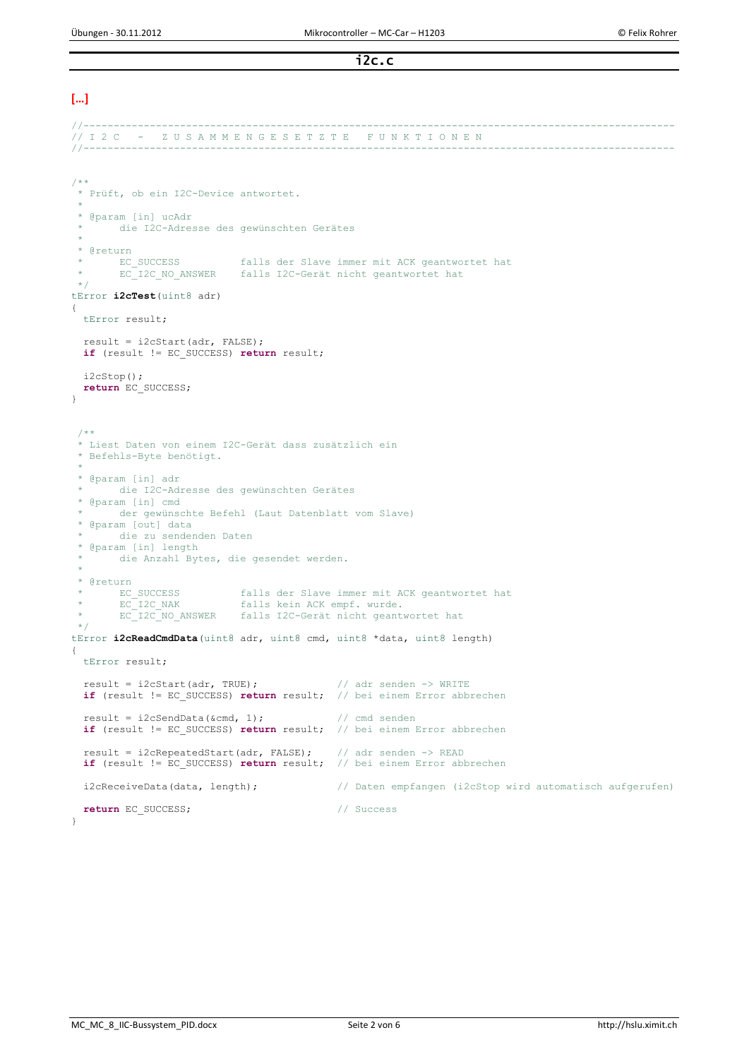#### i2c.c

## **[…]**

//-------------------------------------------------------------------------------------------------- // I 2 C - Z U S A M M E N G E S E T Z T E F U N K T I O N E N //--------------------------------------------------------------------------------------------------

```
/**
* Prüft, ob ein I2C-Device antwortet.
 *
 * @param [in] ucAdr
       die I2C-Adresse des gewünschten Gerätes
 *
* @return<br>* EC SUCCESS
 * EC_SUCCESS falls der Slave immer mit ACK geantwortet hat 
 * EC_I2C_NO_ANSWER falls I2C-Gerät nicht geantwortet hat
*/
tError i2cTest(uint8 adr)
{
  tError result;
 result = i2cStart(adr, FALSE);
  if (result != EC_SUCCESS) return result;
  i2cStop(); 
  return EC_SUCCESS;
}
/**
 * Liest Daten von einem I2C-Gerät dass zusätzlich ein
 * Befehls-Byte benötigt.
 *
 * @param [in] adr
 * die I2C-Adresse des gewünschten Gerätes
  @param [in] cmd
       der gewünschte Befehl (Laut Datenblatt vom Slave)
  @param [out] data
       die zu sendenden Daten
  @param [in] length
       die Anzahl Bytes, die gesendet werden.
 *
 * @return
       EC_SUCCESS falls der Slave immer mit ACK geantwortet hat<br>EC_I2C_NAK falls kein ACK empf. wurde.
       EC_I2C_NAK falls kein ACK empf. wurde.<br>EC_I2C_NO_ANSWER falls I2C-Gerät nicht geant
                          * ECOLEC in Technicht geantwortet hat
 */
tError i2cReadCmdData(uint8 adr, uint8 cmd, uint8 *data, uint8 length)
{
  tError result;
 result = i2cStart(adr, TRUE); \frac{1}{2} // adr senden -> WRITE
  if (result != EC_SUCCESS) return result; // bei einem Error abbrechen
 result = i2cSendData(\&cmd, 1); // cmd senden
  if (result != EC_SUCCESS) return result; // bei einem Error abbrechen
 result = i2cRepeatedStart(adr, FALSE); // adr senden -> READ
  if (result != EC_SUCCESS) return result; // bei einem Error abbrechen
  i2cReceiveData(data, length); // Daten empfangen (i2cStop wird automatisch aufgerufen)
 return EC_SUCCESS; // Success
}
```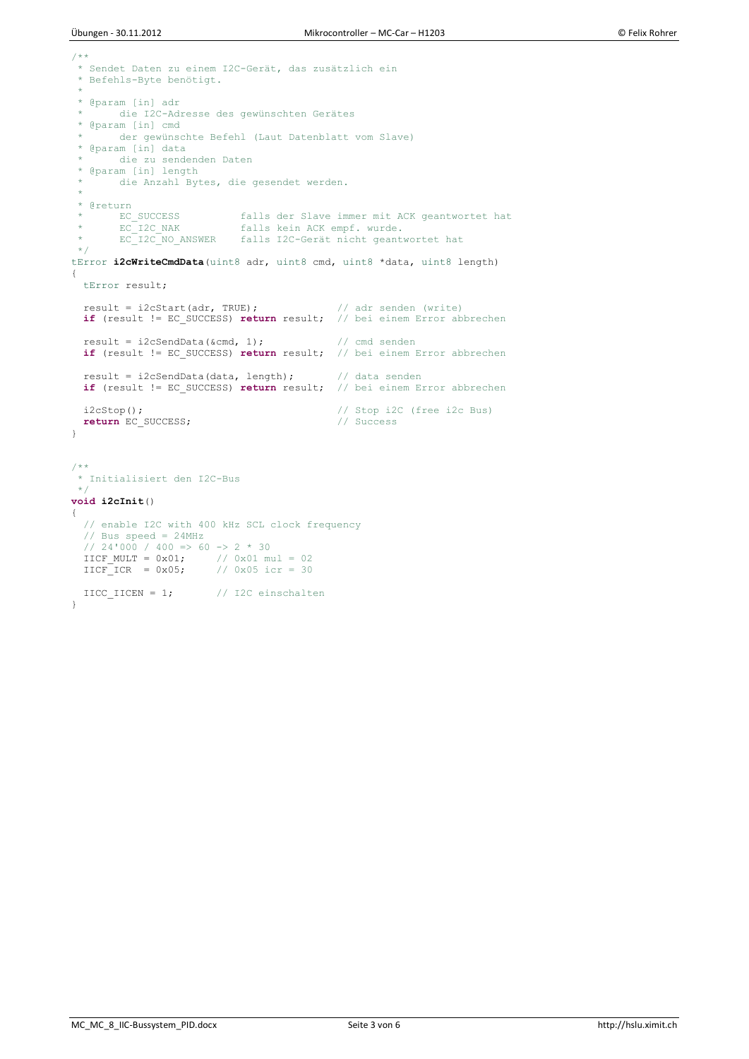```
7*** Sendet Daten zu einem I2C-Gerät, das zusätzlich ein
* Befehls-Byte benötigt.
 *
 * @param [in] adr
        die I2C-Adresse des gewünschten Gerätes
   @param [in] cmd
         der gewünschte Befehl (Laut Datenblatt vom Slave)
 * @param [in] data
 * die zu sendenden Daten
 * @param [in] length
        die Anzahl Bytes, die gesendet werden.
 *
 * @return<br>* EC SUCCESS
         EC_SUCCESS falls der Slave immer mit ACK geantwortet hat<br>EC_I2C_NAK falls kein ACK empf. wurde.
                                 falls kein ACK empf. wurde.
         EC_I2C_NO_ANSWER falls I2C-Gerät nicht geantwortet hat
 */
tError i2cWriteCmdData(uint8 adr, uint8 cmd, uint8 *data, uint8 length)
{
   tError result;
result = i2cStart (adr, TRUE); \frac{1}{c} adr senden (write)
 if (result != EC_SUCCESS) return result; // bei einem Error abbrechen
  result = i2cSendData(\&cmd, 1); // cmd senden
   if (result != EC_SUCCESS) return result; // bei einem Error abbrechen
   result = i2cSendData(data, length); // data senden
   if (result != EC_SUCCESS) return result; // bei einem Error abbrechen
  i2cStop();<br>
\text{return EC SUCESS;}<br>
\frac{1}{2} \frac{1}{2} \frac{1}{2} \frac{1}{2} \frac{1}{2} \frac{1}{2} \frac{1}{2} \frac{1}{2} \frac{1}{2} \frac{1}{2} \frac{1}{2} \frac{1}{2} \frac{1}{2} \frac{1}{2} \frac{1}{2} \frac{1}{2} \frac{1}{2} \frac{1}{2} \frac{1}{2} \frac{1}{2return EC SUCCESS;
}
/**
* Initialisiert den I2C-Bus
* /
void i2cInit()
{
   // enable I2C with 400 kHz SCL clock frequency
   // Bus speed = 24MHz
 // 24'000 / 400 => 60 -> 2 * 30<br>
IICF_MULT = 0x01; // 0x01 m<br>
IICF_ICR = 0x05; // 0x05 io
IICF MULT = 0x01; // 0x01 mul = 02
IICF ICR = 0x05; // 0x05 icr = 30
  IICC IICEN = 1; // I2C einschalten
}
```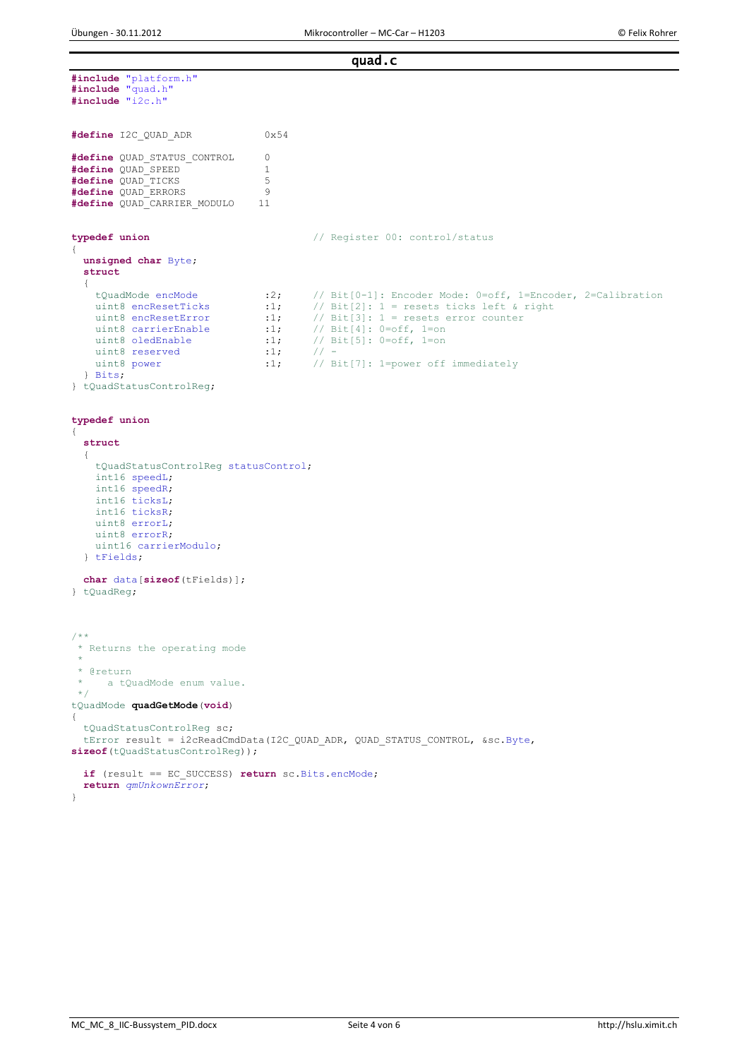```
quad.c 
#include "platform.h"
#include "quad.h"
#include "i2c.h"
#define I2C_QUAD_ADR 0x54
#define QUAD_STATUS_CONTROL 0
#define QUAD_SPEED 1<br>
#define QUAD_TICKS 5
#define QUAD_TICKS 5<br>
#define OUAD_ERRORS 9
#define QUAD_ERRORS 9
#define QUAD_CARRIER_MODULO 11
typedef union // Register 00: control/status
{
  unsigned char Byte;
  struct
  {
    tQuadMode encMode :2; // Bit[0-1]: Encoder Mode: 0=off, 1=Encoder, 2=Calibration 
uint8 encResetTicks :1; \frac{1}{1} / Bit[2]: 1 = resets ticks left & right
uint8 encResetError :1; // Bit[3]: 1 = resets error counter
uint8 carrierEnable :1; // Bit[4]: 0=off, 1=on
uint8 oledEnable :1; \qquad // Bit[5]: 0=off, 1=on
   uint8 reserved :1; //<br>uint8 power :1; //
                                       // Bit[7]: 1=power off immediately
  } Bits;
} tQuadStatusControlReg;
typedef union
{
  struct
   {
    tQuadStatusControlReg statusControl;
    int16 speedL;
    int16 speedR; 
    int16 ticksL;
    int16 ticksR;
    uint8 errorL;
    uint8 errorR;
    uint16 carrierModulo;
  } tFields;
  char data[sizeof(tFields)];
} tQuadReg;
/**
* Returns the operating mode
 * 
* @return
     a tQuadMode enum value.
\star /
tQuadMode quadGetMode(void)
{
  tQuadStatusControlReg sc;
 tError result = i2cReadCmdData(I2C QUAD ADR, QUAD STATUS CONTROL, &sc.Byte,
sizeof(tQuadStatusControlReg));
  if (result == EC_SUCCESS) return sc.Bits.encMode;
  return qmUnkownError;
\overline{1}
```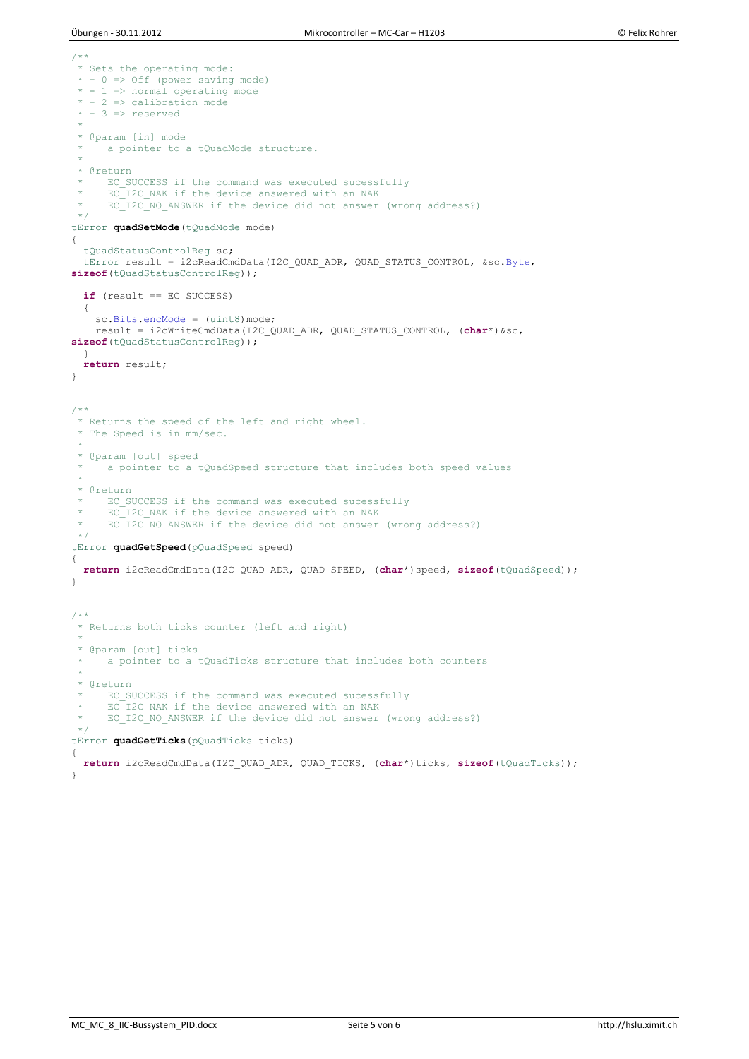```
/**
* Sets the operating mode:
* - 0 => Off (power saving mode)
* - 1 => normal operating mode
* - 2 => calibration mode
 * - 3 \Rightarrow reserved
 * 
 * @param [in] mode
     a pointer to a tOuadMode structure.
 * 
 * @return
      EC SUCCESS if the command was executed sucessfully
      EC_I2C_NAK if the device answered with an NAK
      EC<sup>I2C</sup>NO ANSWER if the device did not answer (wrong address?)
 */
tError quadSetMode(tQuadMode mode)
{
   tQuadStatusControlReg sc; 
  tError result = i2cReadCmdData(I2C_QUAD_ADR, QUAD_STATUS_CONTROL, &sc.Byte, 
sizeof(tQuadStatusControlReg));
  if (result == EC_SUCCESS)
  {
    sc.Bits.encMode = (uint8)mode;
     result = i2cWriteCmdData(I2C_QUAD_ADR, QUAD_STATUS_CONTROL, (char*)&sc, 
sizeof(tQuadStatusControlReg));
 }
  return result; 
}
7*** Returns the speed of the left and right wheel.
* The Speed is in mm/sec.
 * 
 * @param [out] speed
     a pointer to a tQuadSpeed structure that includes both speed values
 * 
 * @return
     EC SUCCESS if the command was executed sucessfully
      EC_I2C_NAK if the device answered with an NAK
      EC_I2C_NO_ANSWER if the device did not answer (wrong address?)
*/
tError quadGetSpeed(pQuadSpeed speed)
{
  return i2cReadCmdData(I2C_QUAD_ADR, QUAD_SPEED, (char*)speed, sizeof(tQuadSpeed));
}
/**
* Returns both ticks counter (left and right)
 * 
* @param [out] ticks
     a pointer to a tQuadTicks structure that includes both counters
 * 
* @return
     EC SUCCESS if the command was executed sucessfully
      EC<sup>I2C_NAK</sup> if the device answered with an NAK
      EC_I2C_NO_ANSWER if the device did not answer (wrong address?)
*/
tError quadGetTicks(pQuadTicks ticks)
{
  return i2cReadCmdData(I2C_QUAD_ADR, QUAD_TICKS, (char*)ticks, sizeof(tQuadTicks));
}
```